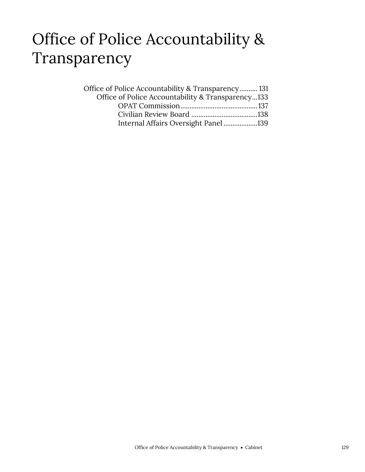### Office of Police Accountability & Transparency

| Office of Police Accountability & Transparency 131 |  |
|----------------------------------------------------|--|
| Office of Police Accountability & Transparency133  |  |
|                                                    |  |
|                                                    |  |
| Internal Affairs Oversight Panel139                |  |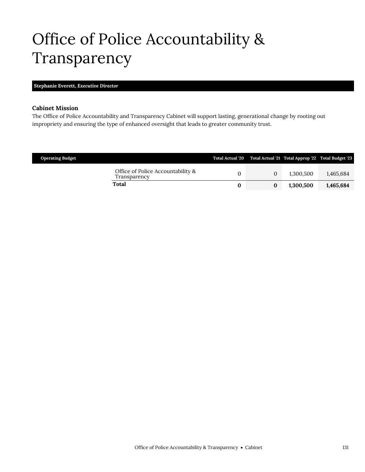# <span id="page-2-0"></span>Office of Police Accountability & Transparency

#### **Stephanie Everett,** *Executive Director*

#### **Cabinet Mission**

The Office of Police Accountability and Transparency Cabinet will support lasting, generational change by rooting out impropriety and ensuring the type of enhanced oversight that leads to greater community trust.

| <b>Operating Budget</b>                           |   |          | Total Actual '20 Total Actual '21 Total Approp '22 Total Budget '23 |           |
|---------------------------------------------------|---|----------|---------------------------------------------------------------------|-----------|
| Office of Police Accountability &<br>Fransparency |   | $\Omega$ | 1.300.500                                                           | 1.465.684 |
| Total                                             | 0 |          | 1,300,500                                                           | 1,465,684 |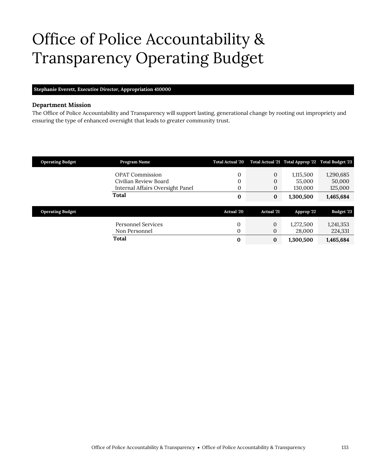# <span id="page-4-0"></span>Office of Police Accountability & Transparency Operating Budget

#### **Stephanie Everett,** *Executive Director,* **Appropriation 410000**

#### **Department Mission**

The Office of Police Accountability and Transparency will support lasting, generational change by rooting out impropriety and ensuring the type of enhanced oversight that leads to greater community trust.

| <b>Operating Budget</b> | Program Name                     | <b>Total Actual '20</b> |                   | Total Actual '21 Total Approp '22 Total Budget '23 |            |
|-------------------------|----------------------------------|-------------------------|-------------------|----------------------------------------------------|------------|
|                         | <b>OPAT Commission</b>           | 0                       | 0                 | 1,115,500                                          | 1,290,685  |
|                         | Civilian Review Board            | 0                       | 0                 | 55,000                                             | 50,000     |
|                         | Internal Affairs Oversight Panel | 0                       | $\boldsymbol{0}$  | 130,000                                            | 125,000    |
|                         | Total                            | $\bf{0}$                | $\bf{0}$          | 1,300,500                                          | 1,465,684  |
| <b>Operating Budget</b> |                                  | Actual '20              | <b>Actual</b> '21 | Approp '22                                         | Budget '23 |
|                         |                                  |                         |                   |                                                    |            |
|                         | Personnel Services               | $\mathbf{0}$            | $\theta$          | 1,272,500                                          | 1,241,353  |
|                         | Non Personnel                    | $\Omega$                | $\mathbf{0}$      | 28,000                                             | 224,331    |
|                         | <b>Total</b>                     | $\bf{0}$                | $\bf{0}$          | 1,300,500                                          | 1,465,684  |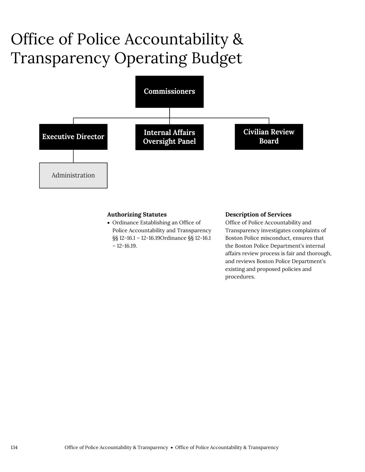# Office of Police Accountability & Transparency Operating Budget



#### **Authorizing Statutes**

 Ordinance Establishing an Office of Police Accountability and Transparency §§ 12-16.1 – 12-16.19Ordinance §§ 12-16.1  $-12-16.19$ .

#### **Description of Services**

Office of Police Accountability and Transparency investigates complaints of Boston Police misconduct, ensures that the Boston Police Department's internal affairs review process is fair and thorough, and reviews Boston Police Department's existing and proposed policies and procedures.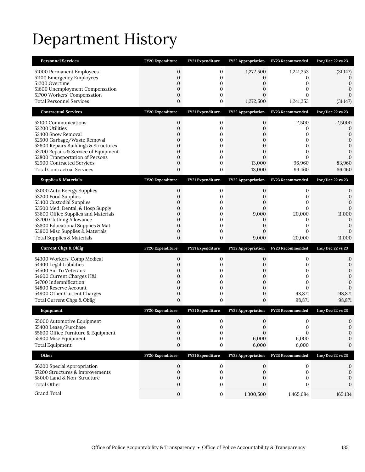# Department History

| <b>Personnel Services</b>                                                    | FY20 Expenditure             | FY21 Expenditure  | <b>FY22 Appropriation</b>        | FY23 Recommended          | Inc/Dec $22$ vs $23$ |
|------------------------------------------------------------------------------|------------------------------|-------------------|----------------------------------|---------------------------|----------------------|
| 51000 Permanent Employees                                                    | $\mathbf{0}$                 | 0                 | 1,272,500                        | 1,241,353                 | (31, 147)            |
| 51100 Emergency Employees<br>51200 Overtime                                  | $\mathbf{0}$<br>$\mathbf{0}$ | 0<br>$\mathbf{0}$ | 0<br>0                           | 0<br>0                    | $\Omega$<br>0        |
| 51600 Unemployment Compensation                                              | 0                            | 0                 | 0                                | 0                         |                      |
| 51700 Workers' Compensation                                                  | $\boldsymbol{0}$             | 0                 | 0                                | 0                         | $\Omega$             |
| <b>Total Personnel Services</b>                                              | $\mathbf{0}$                 | 0                 | 1,272,500                        | 1,241,353                 | (31, 147)            |
| <b>Contractual Services</b>                                                  | FY20 Expenditure             | FY21 Expenditure  | FY22 Appropriation               | FY23 Recommended          | $Inc/Dec$ 22 vs 23   |
| 52100 Communications                                                         | $\boldsymbol{0}$             | 0                 | $\boldsymbol{0}$                 | 2,500                     | 2,5000               |
| 52200 Utilities<br>52400 Snow Removal                                        | $\mathbf{0}$<br>0            | 0<br>0            | 0<br>0                           | 0<br>0                    | 0<br>0               |
| 52500 Garbage/Waste Removal                                                  | 0                            | $\mathbf{0}$      | 0                                | 0                         | 0                    |
| 52600 Repairs Buildings & Structures<br>52700 Repairs & Service of Equipment | 0<br>0                       | 0<br>$\mathbf{0}$ | $\overline{0}$<br>0              | 0<br>0                    | 0<br>$\Omega$        |
| 52800 Transportation of Persons                                              | $\mathbf{0}$                 | 0                 | 0                                | $\Omega$                  |                      |
| 52900 Contracted Services                                                    | $\boldsymbol{0}$             | 0                 | 13,000                           | 96,960                    | 83,960               |
| <b>Total Contractual Services</b>                                            | 0                            | 0                 | 13,000                           | 99,460                    | 86,460               |
| <b>Supplies &amp; Materials</b>                                              | FY20 Expenditure             | FY21 Expenditure  | <b>FY22 Appropriation</b>        | FY23 Recommended          | Inc/Dec 22 vs 23     |
| 53000 Auto Energy Supplies                                                   | $\mathbf 0$                  | 0                 | 0                                | 0                         | 0                    |
| 53200 Food Supplies<br>53400 Custodial Supplies                              | 0<br>0                       | 0<br>0            | 0<br>0                           | 0<br>0                    | 0<br>$\Omega$        |
| 53500 Med, Dental, & Hosp Supply                                             | 0                            | 0                 | $\mathbf{0}$                     | $\mathbf{0}$              | $\mathbf{0}$         |
| 53600 Office Supplies and Materials                                          | 0                            | $\mathbf{0}$      | 9,000                            | 20,000                    | 11,000               |
| 53700 Clothing Allowance<br>53800 Educational Supplies & Mat                 | 0<br>$\mathbf{0}$            | 0<br>$\mathbf{0}$ | 0<br>0                           | 0<br>0                    | 0<br>0               |
| 53900 Misc Supplies & Materials                                              | $\mathbf{0}$                 | 0                 | $\mathbf{0}$                     | 0                         |                      |
| <b>Total Supplies &amp; Materials</b>                                        | 0                            | 0                 | 9,000                            | 20,000                    | 11,000               |
|                                                                              |                              |                   |                                  |                           |                      |
| <b>Current Chgs &amp; Oblig</b>                                              | FY20 Expenditure             | FY21 Expenditure  | <b>FY22 Appropriation</b>        | FY23 Recommended          | Inc/Dec 22 vs 23     |
| 54300 Workers' Comp Medical                                                  | 0                            | 0                 | 0                                | 0                         | 0                    |
| 54400 Legal Liabilities                                                      | $\mathbf{0}$                 | $\mathbf{0}$      | $\mathbf{0}$                     | $\mathbf{0}$              | 0                    |
| 54500 Aid To Veterans                                                        | $\boldsymbol{0}$             | 0                 | 0                                | 0                         | 0                    |
| 54600 Current Charges H&I<br>54700 Indemnification                           | $\mathbf{0}$<br>0            | 0<br>$\mathbf{0}$ | 0<br>0                           | 0<br>0                    | $\mathbf{0}$<br>0    |
| 54800 Reserve Account                                                        | $\mathbf{0}$                 | 0                 | $\boldsymbol{0}$                 | 0                         | $\Omega$             |
| 54900 Other Current Charges<br>Total Current Chgs & Oblig                    | $\boldsymbol{0}$<br>0        | $\mathbf 0$<br>0  | $\boldsymbol{0}$<br>0            | 98,871<br>98,871          | 98,871<br>98,871     |
| Equipment                                                                    | FY20 Expenditure             |                   | FY22 Appropriation               | FY23 Recommended          | Inc/Dec 22 vs 23     |
|                                                                              |                              | FY21 Expenditure  |                                  |                           |                      |
| 55000 Automotive Equipment<br>55400 Lease/Purchase                           | $\mathbf{0}$<br>0            | 0<br>0            | $\mathbf{0}$<br>$\boldsymbol{0}$ | 0<br>0                    | $\Omega$<br>0        |
| 55600 Office Furniture & Equipment                                           | $\mathbf{0}$                 | $\mathbf{0}$      | $\Omega$                         | $\Omega$                  | 0                    |
| 55900 Misc Equipment                                                         | $\mathbf 0$                  | 0                 | 6,000                            | 6,000                     |                      |
| <b>Total Equipment</b><br>Other                                              | $\boldsymbol{0}$             | 0                 | 6,000                            | 6,000<br>FY23 Recommended | 0                    |
|                                                                              | FY20 Expenditure             | FY21 Expenditure  | <b>FY22 Appropriation</b>        |                           | Inc/Dec 22 vs 23     |
| 56200 Special Appropriation                                                  | 0                            | 0                 | 0<br>$\mathbf{0}$                | 0<br>$\mathbf{0}$         | 0                    |
| 57200 Structures & Improvements<br>58000 Land & Non-Structure                | $\mathbf 0$<br>$\mathbf 0$   | 0<br>0            | 0                                | 0                         | 0<br>0               |
| <b>Total Other</b>                                                           | $\mathbf{0}$                 | 0                 | 0                                | 0                         | 0                    |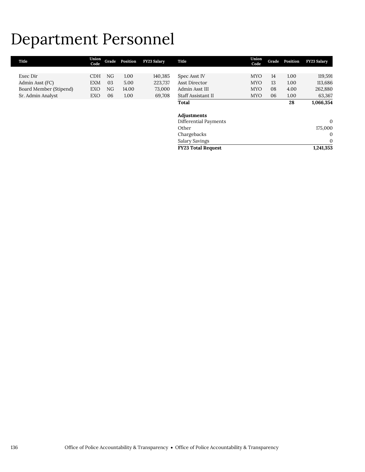# Department Personnel

| Title                  | Union<br>Code | Grade | Position | <b>FY23 Salary</b> | Title                     | Union<br>Code | Grade | Position | <b>FY23 Salary</b> |
|------------------------|---------------|-------|----------|--------------------|---------------------------|---------------|-------|----------|--------------------|
|                        |               |       |          |                    |                           |               |       |          |                    |
| Exec Dir               | <b>CDH</b>    | NG    | 1.00     | 140,385            | Spec Asst IV              | <b>MYO</b>    | 14    | 1.00     | 119,591            |
| Admin Asst (FC)        | <b>EXM</b>    | 03    | 5.00     | 223,737            | Asst Director             | <b>MYO</b>    | 13    | 1.00     | 113,686            |
| Board Member (Stipend) | EXO           | NG    | 14.00    | 73,000             | Admin Asst III            | <b>MYO</b>    | 08    | 4.00     | 262,880            |
| Sr. Admin Analyst      | EXO           | 06    | 1.00     | 69,708             | Staff Assistant II        | <b>MYO</b>    | 06    | 1.00     | 63,367             |
|                        |               |       |          |                    | Total                     |               |       | 28       | 1,066,354          |
|                        |               |       |          |                    | Adjustments               |               |       |          |                    |
|                        |               |       |          |                    | Differential Payments     |               |       |          | $\mathbf{0}$       |
|                        |               |       |          |                    | Other                     |               |       |          | 175,000            |
|                        |               |       |          |                    | Chargebacks               |               |       |          | $\mathbf{0}$       |
|                        |               |       |          |                    | Salary Savings            |               |       |          | 0                  |
|                        |               |       |          |                    | <b>FY23 Total Request</b> |               |       |          | 1,241,353          |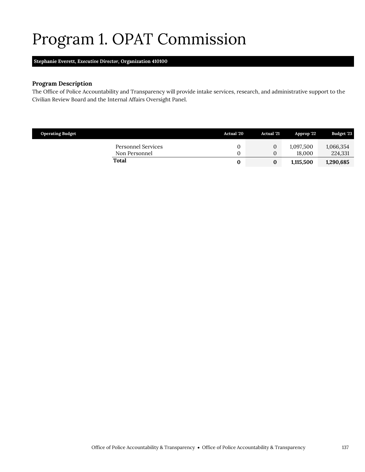# <span id="page-8-0"></span>Program 1. OPAT Commission

**Stephanie Everett,** *Executive Director,* **Organization 410100**

#### **Program Description**

The Office of Police Accountability and Transparency will provide intake services, research, and administrative support to the Civilian Review Board and the Internal Affairs Oversight Panel.

| <b>Operating Budget</b>             | Actual '20 | <b>Actual</b> '21                | Approp '22          | <b>Budget '23</b>    |
|-------------------------------------|------------|----------------------------------|---------------------|----------------------|
| Personnel Services<br>Non Personnel |            | $\overline{0}$<br>$\overline{0}$ | 1,097,500<br>18.000 | 1,066,354<br>224,331 |
| Total                               |            | 0                                | 1,115,500           | 1,290,685            |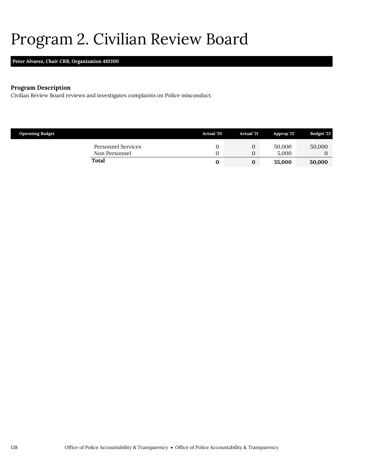### <span id="page-9-0"></span>Program 2. Civilian Review Board

### **Peter Alvarez,** *Chair CRB,* **Organization 410200**

#### **Program Description**

Civilian Review Board reviews and investigates complaints on Police misconduct.

| <b>Operating Budget</b>             | <b>Actual</b> '20 | <b>Actual</b> '21 | Approp 22       | Budget '23 |
|-------------------------------------|-------------------|-------------------|-----------------|------------|
| Personnel Services<br>Non Personnel |                   | U                 | 50,000<br>5.000 | 50,000     |
| Total                               |                   |                   | 55,000          | 50,000     |